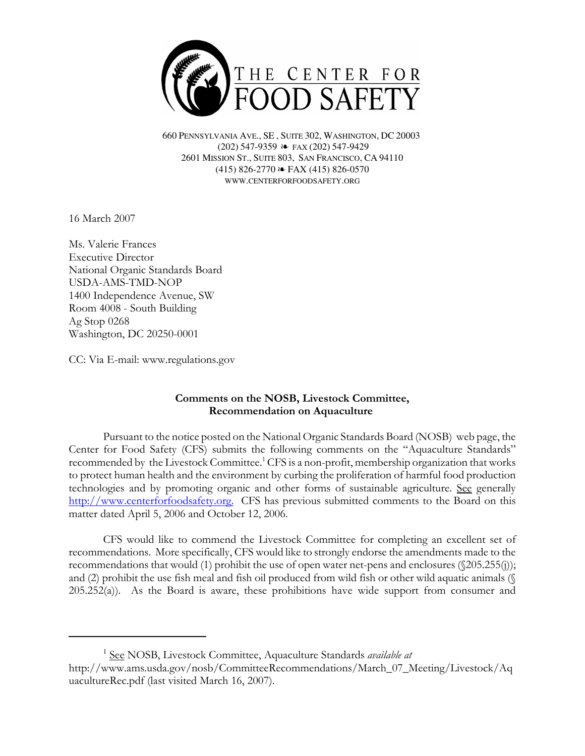

660 PENNSYLVANIA AVE., SE , SUITE 302, WASHINGTON, DC 20003 (202) 547-9359 ≥ FAX (202) 547-9429 2601 MISSION ST., SUITE 803, SAN FRANCISCO, CA 94110  $(415)$  826-2770  $\approx$  FAX (415) 826-0570 WWW.CENTERFORFOODSAFETY.ORG

16 March 2007

Ms. Valerie Frances Executive Director National Organic Standards Board USDA-AMS-TMD-NOP 1400 Independence Avenue, SW Room 4008 - South Building Ag Stop 0268 Washington, DC 20250-0001

CC: Via E-mail: www.regulations.gov

## Comments on the NOSB, Livestock Committee, Recommendation on Aquaculture

Pursuant to the notice posted on the National Organic Standards Board (NOSB) web page, the Center for Food Safety (CFS) submits the following comments on the "Aquaculture Standards" recommended by the Livestock Committee.<sup>1</sup> CFS is a non-profit, membership organization that works to protect human health and the environment by curbing the proliferation of harmful food production technologies and by promoting organic and other forms of sustainable agriculture. See generally http://www.centerforfoodsafety.org. CFS has previous submitted comments to the Board on this matter dated April 5, 2006 and October 12, 2006.

CFS would like to commend the Livestock Committee for completing an excellent set of recommendations. More specifically, CFS would like to strongly endorse the amendments made to the recommendations that would (1) prohibit the use of open water net-pens and enclosures (§205.255(j)); and (2) prohibit the use fish meal and fish oil produced from wild fish or other wild aquatic animals (§ 205.252(a)). As the Board is aware, these prohibitions have wide support from consumer and

<sup>&</sup>lt;sup>1</sup> See NOSB, Livestock Committee, Aquaculture Standards available at http://www.ams.usda.gov/nosb/CommitteeRecommendations/March\_07\_Meeting/Livestock/Aq uacultureRec.pdf (last visited March 16, 2007).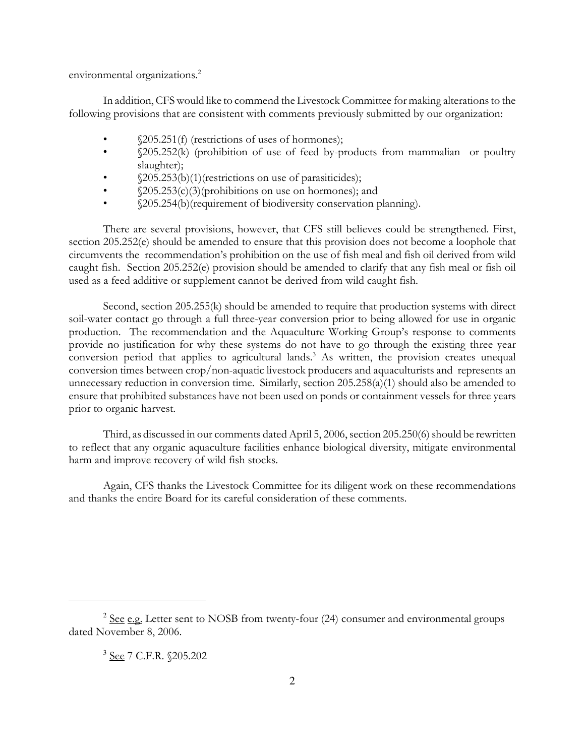environmental organizations.<sup>2</sup>

In addition, CFS would like to commend the Livestock Committee for making alterations to the following provisions that are consistent with comments previously submitted by our organization:

- §205.251(f) (restrictions of uses of hormones);
- $§205.252(k)$  (prohibition of use of feed by-products from mammalian or poultry slaughter);
- $\sqrt{205.253(b)(1)}$ (restrictions on use of parasiticides);
- $\sqrt{205.253(c)}$ (3)(prohibitions on use on hormones); and
- §205.254(b)(requirement of biodiversity conservation planning).

There are several provisions, however, that CFS still believes could be strengthened. First, section 205.252(e) should be amended to ensure that this provision does not become a loophole that circumvents the recommendation's prohibition on the use of fish meal and fish oil derived from wild caught fish. Section 205.252(e) provision should be amended to clarify that any fish meal or fish oil used as a feed additive or supplement cannot be derived from wild caught fish.

Second, section 205.255(k) should be amended to require that production systems with direct soil-water contact go through a full three-year conversion prior to being allowed for use in organic production. The recommendation and the Aquaculture Working Group's response to comments provide no justification for why these systems do not have to go through the existing three year conversion period that applies to agricultural lands.<sup>3</sup> As written, the provision creates unequal conversion times between crop/non-aquatic livestock producers and aquaculturists and represents an unnecessary reduction in conversion time. Similarly, section 205.258(a)(1) should also be amended to ensure that prohibited substances have not been used on ponds or containment vessels for three years prior to organic harvest.

Third, as discussed in our comments dated April 5, 2006, section 205.250(6) should be rewritten to reflect that any organic aquaculture facilities enhance biological diversity, mitigate environmental harm and improve recovery of wild fish stocks.

Again, CFS thanks the Livestock Committee for its diligent work on these recommendations and thanks the entire Board for its careful consideration of these comments.

 $2$  See e.g. Letter sent to NOSB from twenty-four (24) consumer and environmental groups dated November 8, 2006.

<sup>&</sup>lt;sup>3</sup> See 7 C.F.R. §205.202